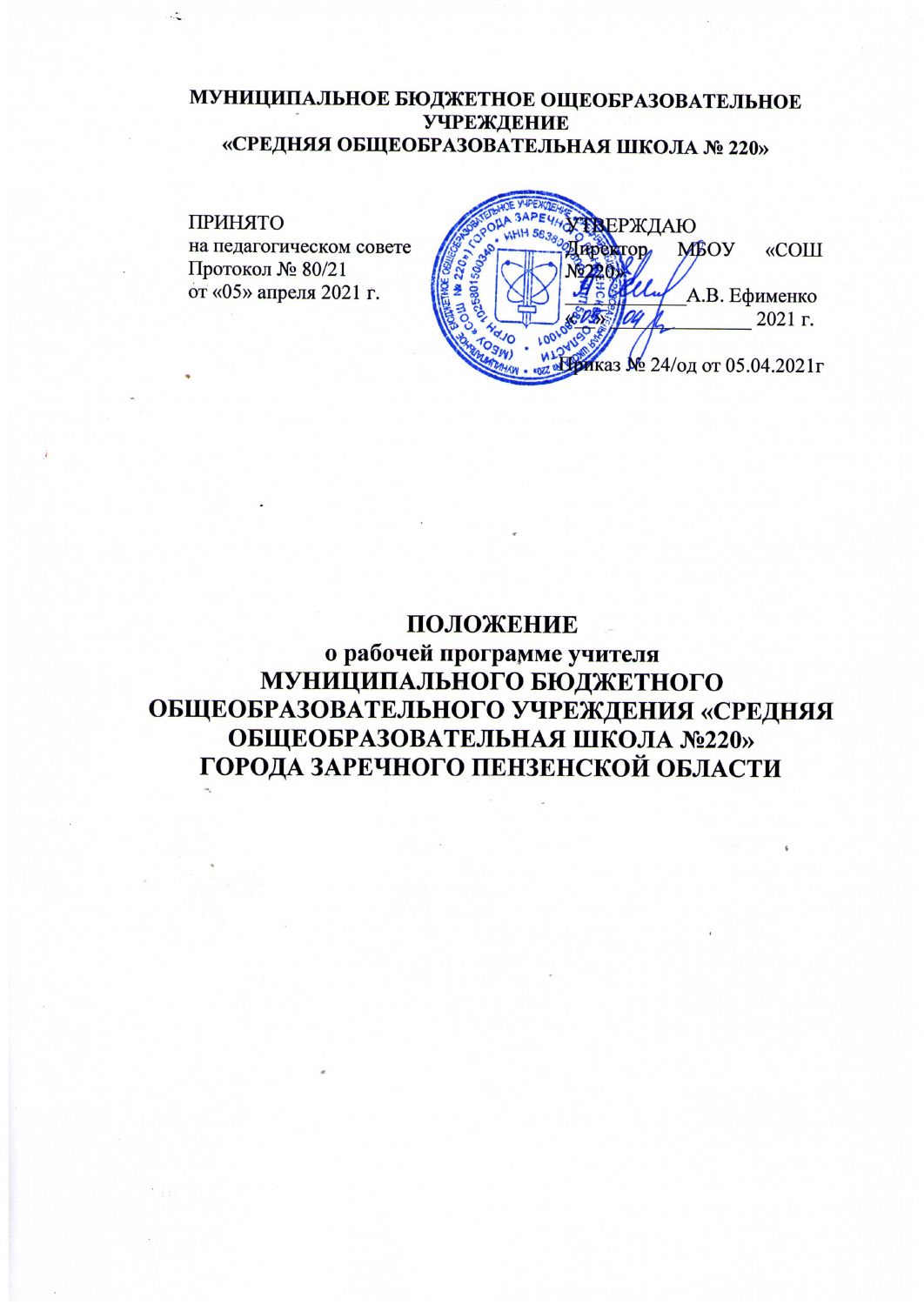# МУНИЦИПАЛЬНОЕ БЮДЖЕТНОЕ ОЩЕОБРАЗОВАТЕЛЬНОЕ **УЧРЕЖДЕНИЕ** «СРЕДНЯЯ ОБЩЕОБРАЗОВАТЕЛЬНАЯ ШКОЛА № 220»

### **ПРИНЯТО** ЕРЖДАЮ на педагогическом совете **MBOY** «СОШ Протокол № 80/21 от «05» апреля 2021 г. А.В. Ефименко 2021 г. каз № 24/од от 05.04.2021г

# ПОЛОЖЕНИЕ

о рабочей программе учителя МУНИЦИПАЛЬНОГО БЮДЖЕТНОГО ОБЩЕОБРАЗОВАТЕЛЬНОГО УЧРЕЖДЕНИЯ «СРЕДНЯЯ ОБЩЕОБРАЗОВАТЕЛЬНАЯ ШКОЛА №220» ГОРОДА ЗАРЕЧНОГО ПЕНЗЕНСКОЙ ОБЛАСТИ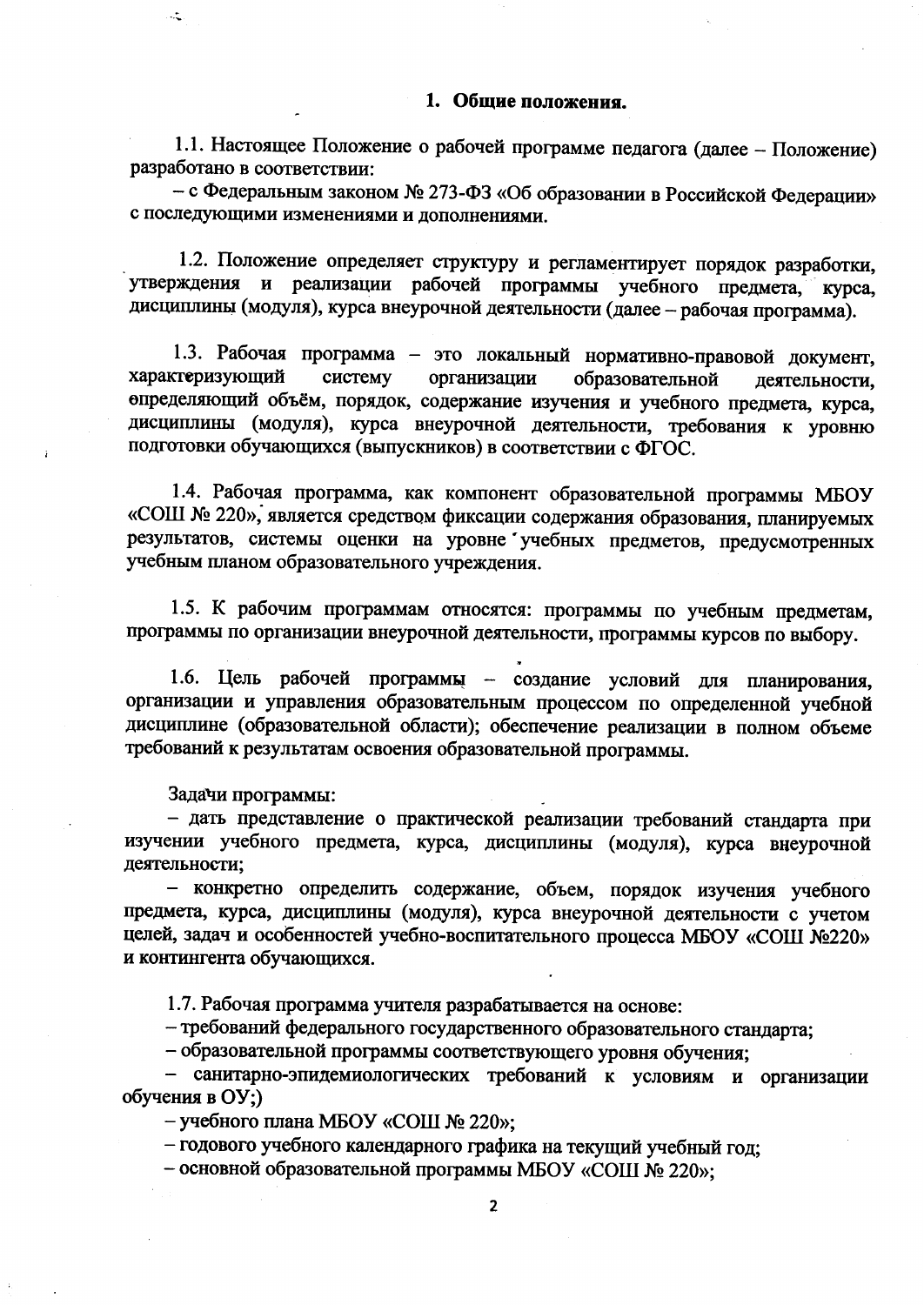### 1. Общие положения.

1.1. Настоящее Положение о рабочей программе педагога (далее - Положение) разработано в соответствии:

- с Федеральным законом № 273-ФЗ «Об образовании в Российской Федерации» с последующими изменениями и дополнениями.

1.2. Положение определяет структуру и регламентирует порядок разработки, утверждения и реализации рабочей программы учебного предмета, курса, дисциплины (модуля), курса внеурочной деятельности (далее - рабочая программа).

1.3. Рабочая программа - это локальный нормативно-правовой документ, характеризующий систему организации образовательной деятельности. определяющий объём, порядок, содержание изучения и учебного предмета, курса, дисциплины (модуля), курса внеурочной деятельности, требования к уровню подготовки обучающихся (выпускников) в соответствии с ФГОС.

1.4. Рабочая программа, как компонент образовательной программы МБОУ «СОШ № 220», является средством фиксации содержания образования, планируемых результатов, системы оценки на уровне учебных предметов, предусмотренных учебным планом образовательного учреждения.

1.5. К рабочим программам относятся: программы по учебным предметам, программы по организации внеурочной деятельности, программы курсов по выбору.

1.6. Цель рабочей программы - создание условий для планирования, организации и управления образовательным процессом по определенной учебной дисциплине (образовательной области); обеспечение реализации в полном объеме требований к результатам освоения образовательной программы.

Задачи программы:

- дать представление о практической реализации требований стандарта при изучении учебного предмета, курса, дисциплины (модуля), курса внеурочной деятельности;

- конкретно определить содержание, объем, порядок изучения учебного предмета, курса, дисциплины (модуля), курса внеурочной деятельности с учетом целей, задач и особенностей учебно-воспитательного процесса МБОУ «СОШ №220» и контингента обучающихся.

1.7. Рабочая программа учителя разрабатывается на основе:

- требований федерального государственного образовательного стандарта;

- образовательной программы соответствующего уровня обучения;

- санитарно-эпидемиологических требований к условиям и организации обучения в ОУ;)

- учебного плана МБОУ «СОШ № 220»;

- годового учебного календарного графика на текущий учебный год;

- основной образовательной программы MБОУ «СОШ № 220»;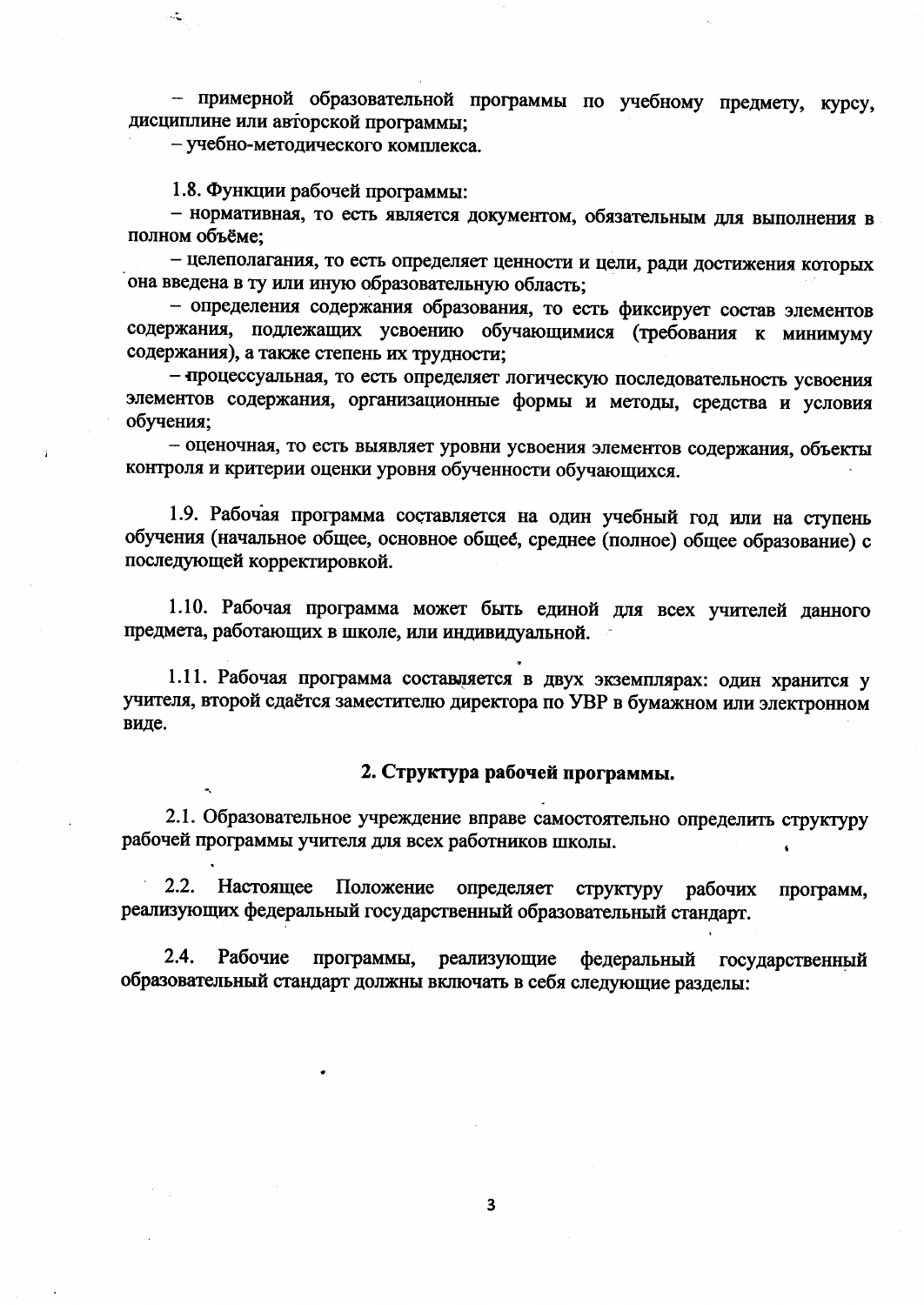- примерной образовательной программы по учебному предмету, курсу, дисциплине или авторской программы;

- учебно-методического комплекса.

 $\mathcal{L}$ 

1.8. Функции рабочей программы:

- нормативная, то есть является документом, обязательным для выполнения в полном объёме;

- целеполагания, то есть определяет ценности и цели, ради достижения которых она введена в ту или иную образовательную область;

- определения содержания образования, то есть фиксирует состав элементов содержания, подлежащих усвоению обучающимися (требования к минимуму содержания), а также степень их трудности;

- процессуальная, то есть определяет логическую последовательность усвоения элементов содержания, организационные формы и методы, средства и условия обучения;

- оценочная, то есть выявляет уровни усвоения элементов содержания, объекты контроля и критерии оценки уровня обученности обучающихся.

1.9. Рабочая программа составляется на один учебный год или на ступень обучения (начальное общее, основное общее, среднее (полное) общее образование) с последующей корректировкой.

1.10. Рабочая программа может быть единой для всех учителей данного предмета, работающих в школе, или индивидуальной.

1.11. Рабочая программа составляется в двух экземплярах: один хранится у учителя, второй сдаётся заместителю директора по УВР в бумажном или электронном виде.

### 2. Структура рабочей программы.

2.1. Образовательное учреждение вправе самостоятельно определить структуру рабочей программы учителя для всех работников школы.

 $2.2.$ Настоящее Положение определяет структуру рабочих программ, реализующих федеральный государственный образовательный стандарт.

 $2.4.$ Рабочие программы, реализующие федеральный государственный образовательный стандарт должны включать в себя следующие разделы:

 $\overline{\mathbf{3}}$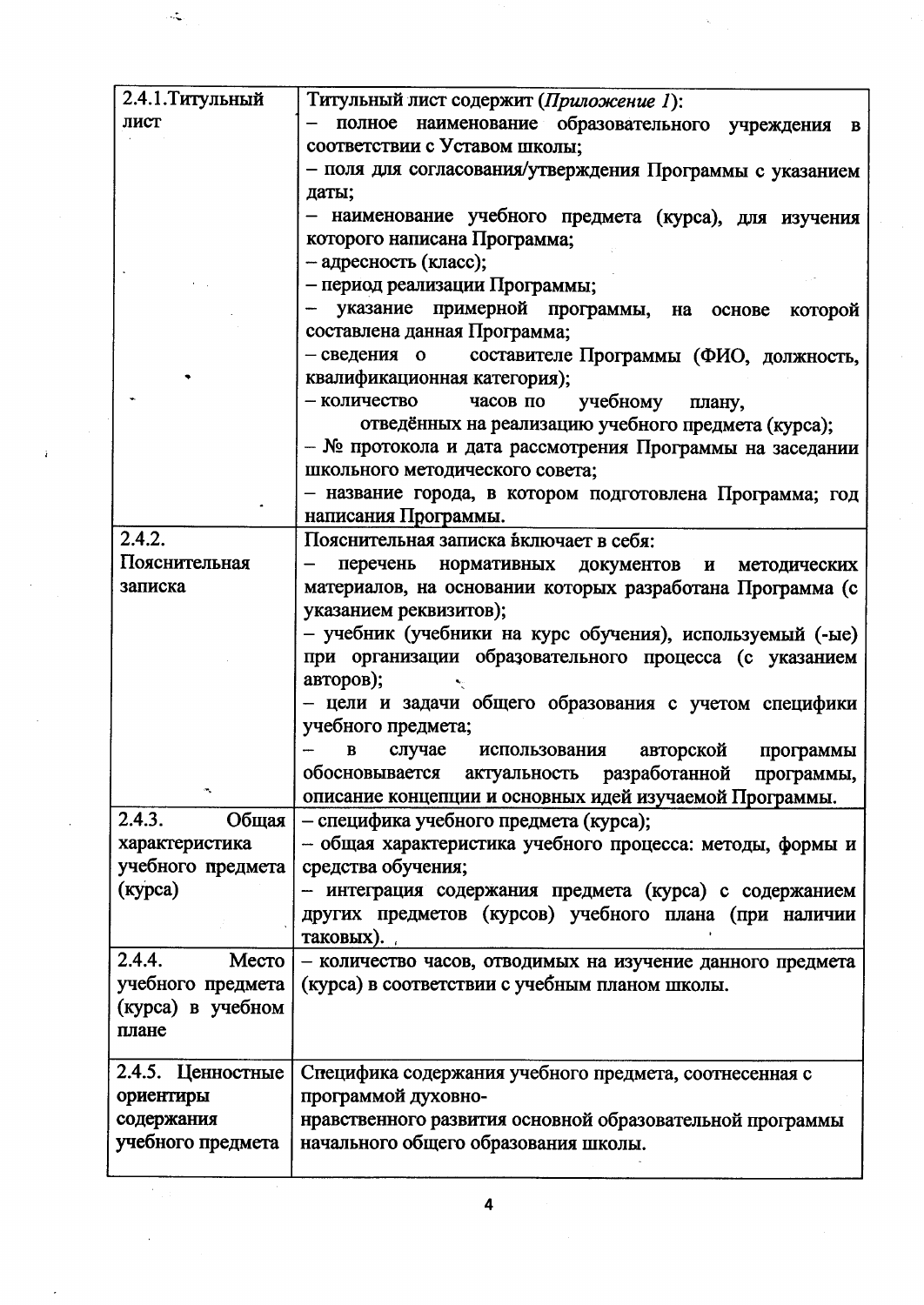| 2.4.1. Титульный  | Титульный лист содержит (Приложение 1):                    |
|-------------------|------------------------------------------------------------|
| лист              | полное наименование образовательного учреждения в          |
|                   | соответствии с Уставом школы;                              |
|                   | - поля для согласования/утверждения Программы с указанием  |
|                   | даты;                                                      |
|                   | - наименование учебного предмета (курса), для изучения     |
|                   | которого написана Программа;                               |
|                   | - адресность (класс);                                      |
|                   | - период реализации Программы;                             |
|                   | - указание примерной программы, на основе которой          |
|                   | составлена данная Программа;                               |
|                   | - сведения о составителе Программы (ФИО, должность,        |
|                   | квалификационная категория);                               |
|                   | часов по учебному плану,<br>- количество                   |
|                   | отведённых на реализацию учебного предмета (курса);        |
|                   | - № протокола и дата рассмотрения Программы на заседании   |
|                   | школьного методического совета;                            |
|                   | - название города, в котором подготовлена Программа; год   |
|                   | написания Программы.                                       |
| 2.4.2.            | Пояснительная записка включает в себя:                     |
| Пояснительная     | перечень нормативных документов и методических             |
| записка           | материалов, на основании которых разработана Программа (с  |
|                   | указанием реквизитов);                                     |
|                   | - учебник (учебники на курс обучения), используемый (-ые)  |
|                   | при организации образовательного процесса (с указанием     |
|                   | авторов);                                                  |
|                   | - цели и задачи общего образования с учетом специфики      |
|                   | учебного предмета;                                         |
|                   | случае использования авторской программы<br>$\bf{B}$       |
|                   | обосновывается актуальность разработанной программы,       |
| ۰                 | описание концепции и основных идей изучаемой Программы.    |
| 2.4.3.<br>Общая   | - специфика учебного предмета (курса);                     |
| характеристика    | - общая характеристика учебного процесса: методы, формы и  |
| учебного предмета | средства обучения;                                         |
| (курса)           | - интеграция содержания предмета (курса) с содержанием     |
|                   | других предметов (курсов) учебного плана (при наличии      |
|                   | таковых).                                                  |
| 2.4.4.<br>Место   | - количество часов, отводимых на изучение данного предмета |
| учебного предмета | (курса) в соответствии с учебным планом школы.             |
| (курса) в учебном |                                                            |
| плане             |                                                            |
|                   |                                                            |
| 2.4.5. Ценностные | Специфика содержания учебного предмета, соотнесенная с     |
| ориентиры         | программой духовно-                                        |
| содержания        | нравственного развития основной образовательной программы  |
| учебного предмета | начального общего образования школы.                       |
|                   |                                                            |

 $\cdot$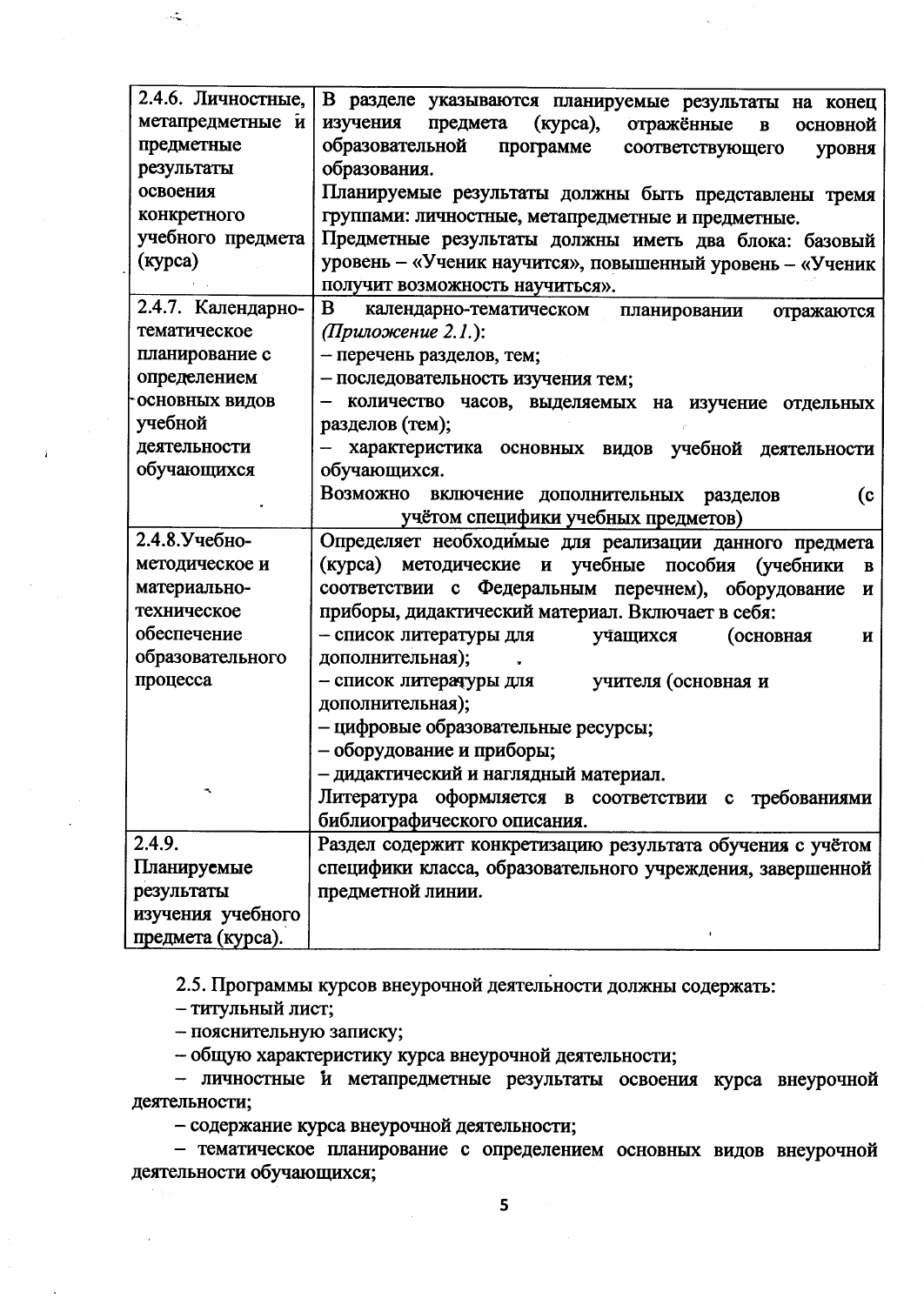| 2.4.6. Личностные, | В разделе указываются планируемые результаты на конец                           |  |  |  |  |
|--------------------|---------------------------------------------------------------------------------|--|--|--|--|
| метапредметные и   | изучения<br>(курса),<br>предмета<br>отражённые<br>основной<br>$\, {\bf B}$      |  |  |  |  |
| предметные         | образовательной<br>программе<br>соответствующего<br>уровня                      |  |  |  |  |
| результаты         | образования.                                                                    |  |  |  |  |
| освоения           | Планируемые результаты должны быть представлены тремя                           |  |  |  |  |
| конкретного        | группами: личностные, метапредметные и предметные.                              |  |  |  |  |
| учебного предмета  | Предметные результаты должны иметь два блока: базовый                           |  |  |  |  |
| (курса)            | уровень - «Ученик научится», повышенный уровень - «Ученик                       |  |  |  |  |
|                    | получит возможность научиться».                                                 |  |  |  |  |
| 2.4.7. Календарно- | B<br>календарно-тематическом<br>планировании<br>отражаются                      |  |  |  |  |
| тематическое       | (Приложение 2.1.):                                                              |  |  |  |  |
| планирование с     | - перечень разделов, тем;                                                       |  |  |  |  |
| определением       | - последовательность изучения тем;                                              |  |  |  |  |
| основных видов     | количество часов, выделяемых на изучение отдельных                              |  |  |  |  |
| учебной            | разделов (тем);                                                                 |  |  |  |  |
| деятельности       | характеристика основных видов учебной деятельности                              |  |  |  |  |
| обучающихся        | обучающихся.                                                                    |  |  |  |  |
|                    | Возможно включение дополнительных разделов<br>(c)                               |  |  |  |  |
|                    | учётом специфики учебных предметов)                                             |  |  |  |  |
| 2.4.8.Учебно-      | Определяет необходимые для реализации данного предмета                          |  |  |  |  |
| методическое и     | (курса) методические и учебные пособия (учебники<br>$\, {\bf B}$                |  |  |  |  |
| материально-       | соответствии с Федеральным перечнем), оборудование<br>$\boldsymbol{\mathrm{M}}$ |  |  |  |  |
| техническое        | приборы, дидактический материал. Включает в себя:                               |  |  |  |  |
| обеспечение        | - список литературы для<br>учащихся<br>(основная<br>$\mathbf{H}$                |  |  |  |  |
| образовательного   | дополнительная);                                                                |  |  |  |  |
| процесса           | - список литературы для<br>учителя (основная и                                  |  |  |  |  |
|                    | дополнительная);                                                                |  |  |  |  |
|                    | - цифровые образовательные ресурсы;                                             |  |  |  |  |
|                    | - оборудование и приборы;                                                       |  |  |  |  |
|                    | - дидактический и наглядный материал.                                           |  |  |  |  |
|                    | Литература оформляется в соответствии с требованиями                            |  |  |  |  |
|                    | библиографического описания.                                                    |  |  |  |  |
| 2.4.9.             | Раздел содержит конкретизацию результата обучения с учётом                      |  |  |  |  |
| Планируемые        | специфики класса, образовательного учреждения, завершенной                      |  |  |  |  |
| результаты         | предметной линии.                                                               |  |  |  |  |
| изучения учебного  |                                                                                 |  |  |  |  |
| предмета (курса).  |                                                                                 |  |  |  |  |

2.5. Программы курсов внеурочной деятельности должны содержать:

- титульный лист;

Ã.

- пояснительную записку;

- общую характеристику курса внеурочной деятельности;

- личностные и метапредметные результаты освоения курса внеурочной деятельности;

- содержание курса внеурочной деятельности;

- тематическое планирование с определением основных видов внеурочной деятельности обучающихся;

5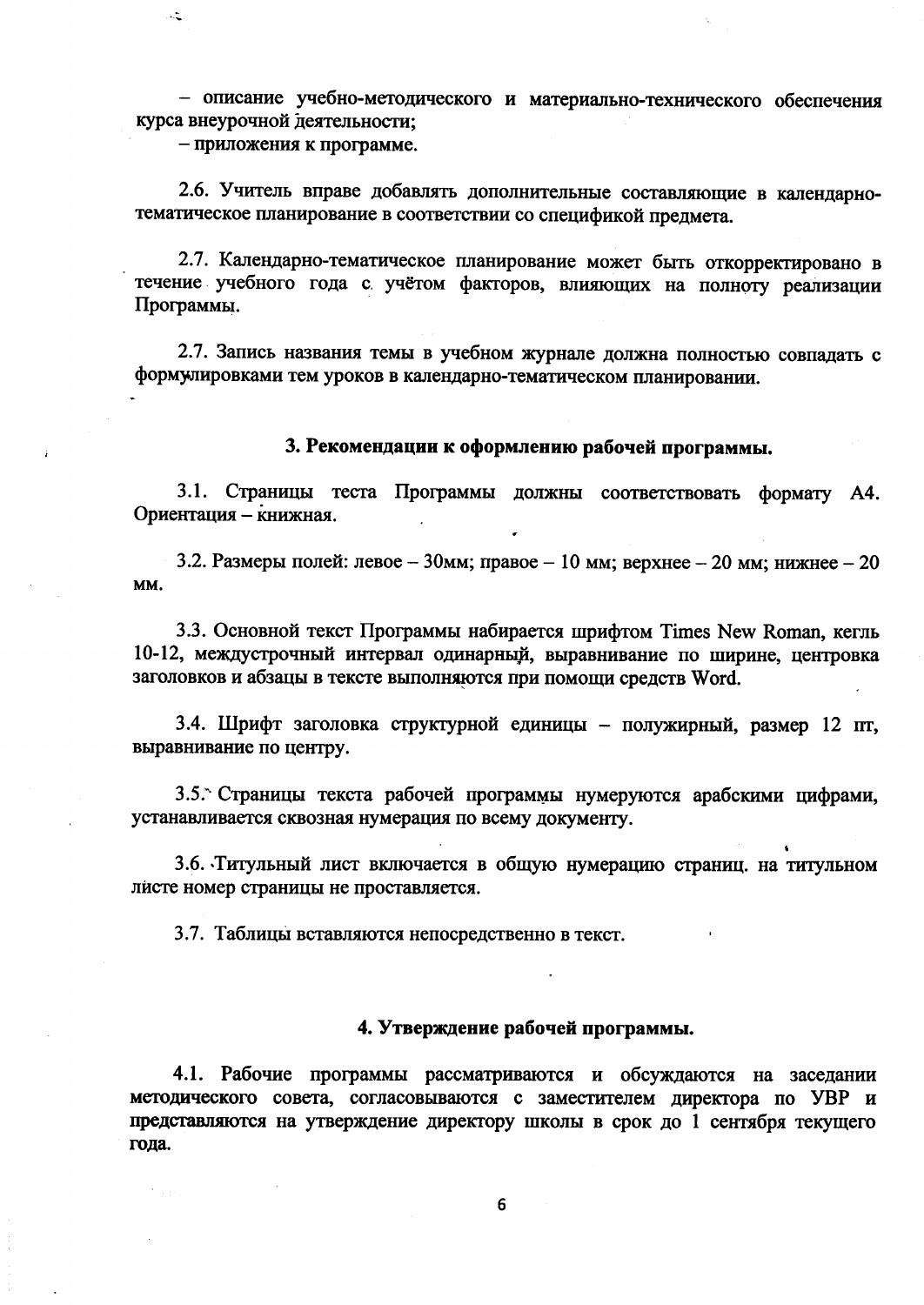- описание учебно-методического и материально-технического обеспечения курса внеурочной деятельности;

- приложения к программе.

 $\ddot{\sim}$ 

2.6. Учитель вправе добавлять дополнительные составляющие в календарнотематическое планирование в соответствии со спецификой предмета.

2.7. Календарно-тематическое планирование может быть откорректировано в течение учебного года с учётом факторов, влияющих на полноту реализации Программы.

2.7. Запись названия темы в учебном журнале должна полностью совпадать с формулировками тем уроков в календарно-тематическом планировании.

## 3. Рекомендации к оформлению рабочей программы.

3.1. Страницы теста Программы должны соответствовать формату А4. Ориентация - книжная.

3.2. Размеры полей: левое - 30мм; правое - 10 мм; верхнее - 20 мм; нижнее - 20 MM.

3.3. Основной текст Программы набирается шрифтом Times New Roman, кегль 10-12, междустрочный интервал одинарный, выравнивание по ширине, центровка заголовков и абзацы в тексте выполняются при помощи средств Word.

3.4. Шрифт заголовка структурной единицы - полужирный, размер 12 пт, выравнивание по центру.

3.5. Страницы текста рабочей программы нумеруются арабскими цифрами, устанавливается сквозная нумерация по всему документу.

3.6. Титульный лист включается в общую нумерацию страниц, на титульном листе номер страницы не проставляется.

3.7. Таблицы вставляются непосредственно в текст.

#### 4. Утверждение рабочей программы.

4.1. Рабочие программы рассматриваются и обсуждаются на заседании методического совета, согласовываются с заместителем директора по УВР и представляются на утверждение директору школы в срок до 1 сентября текущего года.

6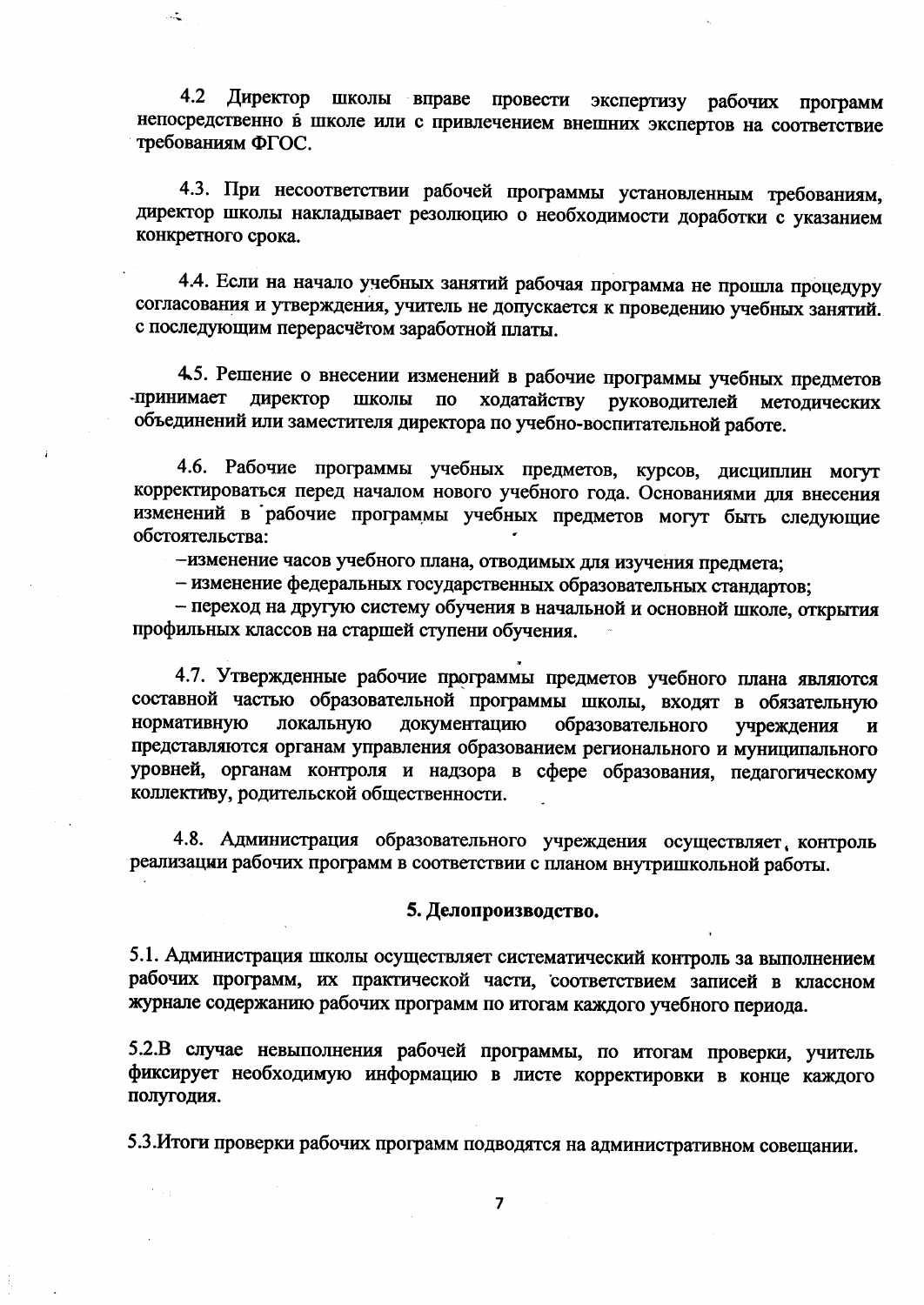Директор школы вправе провести экспертизу рабочих 4.2 программ непосредственно в школе или с привлечением внешних экспертов на соответствие требованиям ФГОС.

 $\ddot{\cdot}$ 

4.3. При несоответствии рабочей программы установленным требованиям, директор школы накладывает резолюцию о необходимости доработки с указанием конкретного срока.

4.4. Если на начало учебных занятий рабочая программа не прошла процедуру согласования и утверждения, учитель не допускается к проведению учебных занятий. с последующим перерасчётом заработной платы.

4.5. Решение о внесении изменений в рабочие программы учебных предметов -принимает директор ШКОЛЫ ходатайству  $\overline{a}$ руководителей методических объединений или заместителя директора по учебно-воспитательной работе.

4.6. Рабочие программы учебных предметов, курсов, дисциплин могут корректироваться перед началом нового учебного года. Основаниями для внесения изменений в рабочие программы учебных предметов могут быть следующие обстоятельства:

-изменение часов учебного плана, отводимых для изучения предмета;

- изменение федеральных государственных образовательных стандартов;

- переход на другую систему обучения в начальной и основной школе, открытия профильных классов на старшей ступени обучения.

4.7. Утвержденные рабочие программы предметов учебного плана являются составной частью образовательной программы школы, входят в обязательную образовательного нормативную локальную документацию учреждения И представляются органам управления образованием регионального и муниципального уровней, органам контроля и надзора в сфере образования, педагогическому коллективу, родительской общественности.

4.8. Администрация образовательного учреждения осуществляет, контроль реализации рабочих программ в соответствии с планом внутришкольной работы.

#### 5. Делопроизводство.

5.1. Администрация школы осуществляет систематический контроль за выполнением рабочих программ, их практической части, соответствием записей в классном журнале содержанию рабочих программ по итогам каждого учебного периода.

5.2.В случае невыполнения рабочей программы, по итогам проверки, учитель фиксирует необходимую информацию в листе корректировки в конце каждого полугодия.

5.3. Итоги проверки рабочих программ подводятся на административном совещании.

 $\overline{7}$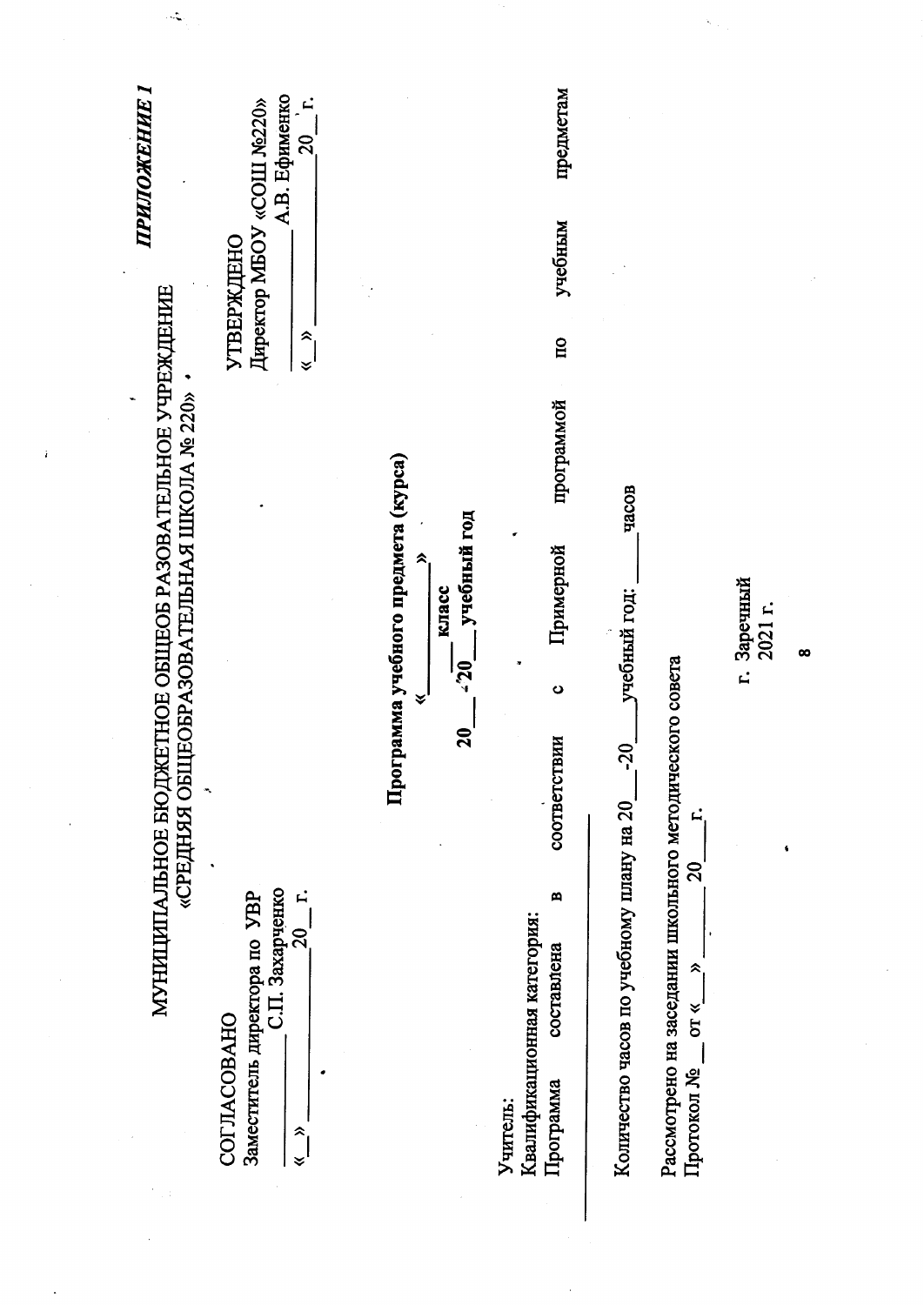| ∼<br><b>ПРИЛОЖЕНИЕ</b>                                                                                        | А.В. Ефименко<br>Директор MBOY «COIII No220»<br>$\mathbf{L}$<br>$\overline{c}$<br><b>УТВЕРЖДЕНО</b><br>$\hat{\phantom{1}}$<br>❤ |                                                                                          | предметам<br>учебным<br>$\overline{\mathbf{u}}$                              |                                                                                                                                                                                    |                                                        |          |
|---------------------------------------------------------------------------------------------------------------|---------------------------------------------------------------------------------------------------------------------------------|------------------------------------------------------------------------------------------|------------------------------------------------------------------------------|------------------------------------------------------------------------------------------------------------------------------------------------------------------------------------|--------------------------------------------------------|----------|
| ЕТНОЕ ОБЩЕОБ РАЗОВАТЕЛЬНОЕ УЧРЕЖДЕНИЕ<br>«СРЕДНЯЯ ОБЩЕОБРАЗОВАТЕЛЬНАЯ ШКОЛА № 220»<br>ï<br>МУНИЦИПАЛЬНОЕ БЮДЖ | С.П. Захарченко<br>$\ddot{r}$<br>20                                                                                             | рамма учебного предмета (курса)<br>учебный год<br>⋩<br>класс<br>$-20$<br>∀<br>20<br>Hoor | программой<br>Примерной<br>ပ<br>соответствии<br>$\blacksquare$<br>составлена | часов<br>учебный год:<br>Рассмотрено на заседании школьного методического совета<br>$02 -$<br>Количество часов по учебному плану на 20<br>E<br>$\mathcal{S}$<br>$\hat{\mathbf{z}}$ | Заречный<br>2021 r.<br>$\vec{r}$<br>$\pmb{\mathsf{s}}$ | $\infty$ |
|                                                                                                               | Заместитель директора по <b>УВР</b><br><b>COLIACOBAHO</b><br>$\hat{\phantom{1}}$<br>$\checkmark$                                |                                                                                          | Квалификационная категория:<br>Программа<br>Учитель:                         | <b>OT «</b><br>Протокол №                                                                                                                                                          |                                                        |          |

 $\mathcal{L}^{\text{max}}_{\text{max}}$ 

 $\left\langle \hat{N}_{\rm{max}} \right\rangle$ 

 $\label{eq:2.1} \frac{1}{\sqrt{2}}\int_{0}^{\infty}\frac{1}{\sqrt{2\pi}}\left(\frac{1}{\sqrt{2\pi}}\right)^{2}d\mu\,d\mu\,.$ 

 $\mathcal{O}(\mathcal{E})$